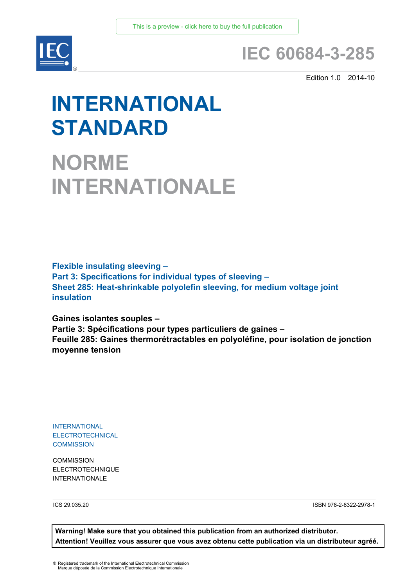

## **IEC 60684-3-285**

Edition 1.0 2014-10

# **INTERNATIONAL STANDARD**

**NORME INTERNATIONALE**

**Flexible insulating sleeving – Part 3: Specifications for individual types of sleeving – Sheet 285: Heat-shrinkable polyolefin sleeving, for medium voltage joint insulation**

**Gaines isolantes souples – Partie 3: Spécifications pour types particuliers de gaines – Feuille 285: Gaines thermorétractables en polyoléfine, pour isolation de jonction moyenne tension**

INTERNATIONAL ELECTROTECHNICAL **COMMISSION** 

**COMMISSION** ELECTROTECHNIQUE INTERNATIONAL F

ICS 29.035.20 ISBN 978-2-8322-2978-1

**Warning! Make sure that you obtained this publication from an authorized distributor. Attention! Veuillez vous assurer que vous avez obtenu cette publication via un distributeur agréé.**

® Registered trademark of the International Electrotechnical Commission Marque déposée de la Commission Electrotechnique Internationale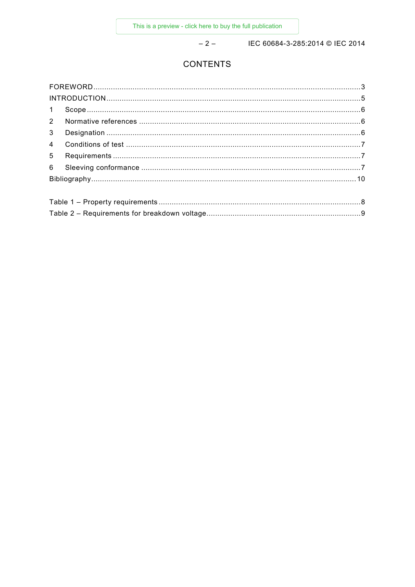$-2-$ 

IEC 60684-3-285:2014 © IEC 2014

#### **CONTENTS**

| 1              |  |  |  |
|----------------|--|--|--|
| $2^{\circ}$    |  |  |  |
| 3 <sup>1</sup> |  |  |  |
| $\overline{4}$ |  |  |  |
| $5^{\circ}$    |  |  |  |
| 6              |  |  |  |
|                |  |  |  |
|                |  |  |  |
|                |  |  |  |
|                |  |  |  |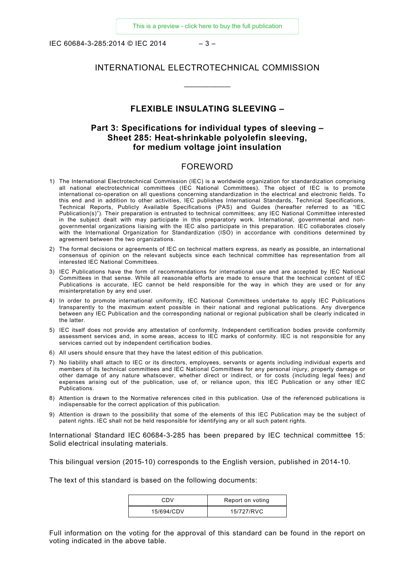IEC 60684-3-285:2014 © IEC 2014 – 3 –

#### INTERNATIONAL ELECTROTECHNICAL COMMISSION

 $\overline{\phantom{a}}$ 

#### **FLEXIBLE INSULATING SLEEVING –**

#### **Part 3: Specifications for individual types of sleeving – Sheet 285: Heat-shrinkable polyolefin sleeving, for medium voltage joint insulation**

#### FOREWORD

- <span id="page-2-0"></span>1) The International Electrotechnical Commission (IEC) is a worldwide organization for standardization comprising all national electrotechnical committees (IEC National Committees). The object of IEC is to promote international co-operation on all questions concerning standardization in the electrical and electronic fields. To this end and in addition to other activities, IEC publishes International Standards, Technical Specifications, Technical Reports, Publicly Available Specifications (PAS) and Guides (hereafter referred to as "IEC Publication(s)"). Their preparation is entrusted to technical committees; any IEC National Committee interested in the subject dealt with may participate in this preparatory work. International, governmental and nongovernmental organizations liaising with the IEC also participate in this preparation. IEC collaborates closely with the International Organization for Standardization (ISO) in accordance with conditions determined by agreement between the two organizations.
- 2) The formal decisions or agreements of IEC on technical matters express, as nearly as possible, an international consensus of opinion on the relevant subjects since each technical committee has representation from all interested IEC National Committees.
- 3) IEC Publications have the form of recommendations for international use and are accepted by IEC National Committees in that sense. While all reasonable efforts are made to ensure that the technical content of IEC Publications is accurate, IEC cannot be held responsible for the way in which they are used or for any misinterpretation by any end user.
- 4) In order to promote international uniformity, IEC National Committees undertake to apply IEC Publications transparently to the maximum extent possible in their national and regional publications. Any divergence between any IEC Publication and the corresponding national or regional publication shall be clearly indicated in the latter.
- 5) IEC itself does not provide any attestation of conformity. Independent certification bodies provide conformity assessment services and, in some areas, access to IEC marks of conformity. IEC is not responsible for any services carried out by independent certification bodies.
- 6) All users should ensure that they have the latest edition of this publication.
- 7) No liability shall attach to IEC or its directors, employees, servants or agents including individual experts and members of its technical committees and IEC National Committees for any personal injury, property damage or other damage of any nature whatsoever, whether direct or indirect, or for costs (including legal fees) and expenses arising out of the publication, use of, or reliance upon, this IEC Publication or any other IEC Publications.
- 8) Attention is drawn to the Normative references cited in this publication. Use of the referenced publications is indispensable for the correct application of this publication.
- 9) Attention is drawn to the possibility that some of the elements of this IEC Publication may be the subject of patent rights. IEC shall not be held responsible for identifying any or all such patent rights.

International Standard IEC 60684-3-285 has been prepared by IEC technical committee 15: Solid electrical insulating materials.

This bilingual version (2015-10) corresponds to the English version, published in 2014-10.

The text of this standard is based on the following documents:

| CDV        | Report on voting |
|------------|------------------|
| 15/694/CDV | 15/727/RVC       |

Full information on the voting for the approval of this standard can be found in the report on voting indicated in the above table.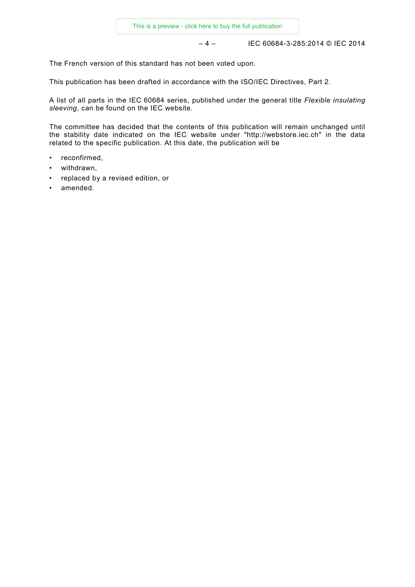– 4 – IEC 60684-3-285:2014 © IEC 2014

The French version of this standard has not been voted upon.

This publication has been drafted in accordance with the ISO/IEC Directives, Part 2.

A list of all parts in the IEC 60684 series, published under the general title *Flexible insulating sleeving*, can be found on the IEC website.

The committee has decided that the contents of this publication will remain unchanged until the stability date indicated on the IEC website under "http://webstore.iec.ch" in the data related to the specific publication. At this date, the publication will be

- reconfirmed,
- withdrawn,
- replaced by a revised edition, or
- amended.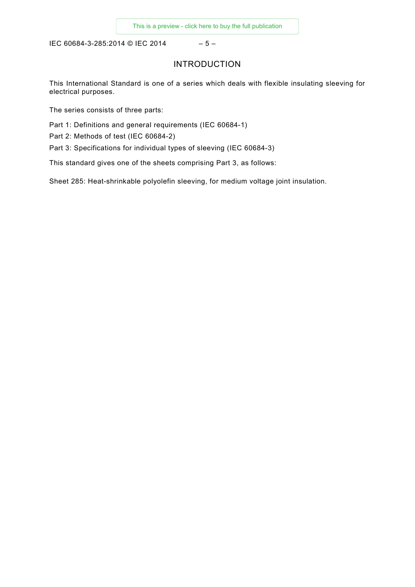<span id="page-4-0"></span>IEC 60684-3-285:2014 © IEC 2014 - 5 -

#### INTRODUCTION

This International Standard is one of a series which deals with flexible insulating sleeving for electrical purposes.

The series consists of three parts:

Part 1: Definitions and general requirements (IEC 60684-1)

Part 2: Methods of test (IEC 60684-2)

Part 3: Specifications for individual types of sleeving (IEC 60684-3)

This standard gives one of the sheets comprising Part 3, as follows:

Sheet 285: Heat-shrinkable polyolefin sleeving, for medium voltage joint insulation.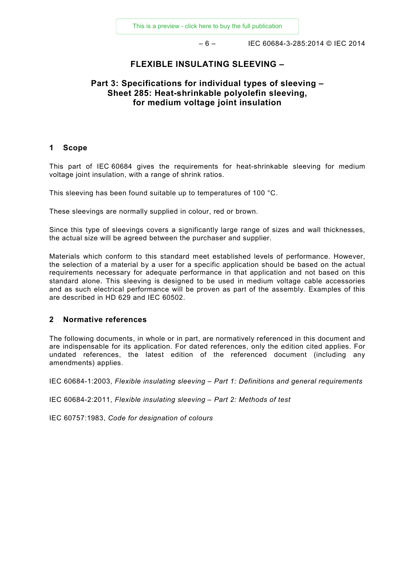$-6 -$  IEC 60684-3-285:2014 © IEC 2014

#### **FLEXIBLE INSULATING SLEEVING –**

#### **Part 3: Specifications for individual types of sleeving – Sheet 285: Heat-shrinkable polyolefin sleeving, for medium voltage joint insulation**

#### <span id="page-5-0"></span>**1 Scope**

This part of IEC 60684 gives the requirements for heat-shrinkable sleeving for medium voltage joint insulation, with a range of shrink ratios.

This sleeving has been found suitable up to temperatures of 100 °C.

These sleevings are normally supplied in colour, red or brown.

Since this type of sleevings covers a significantly large range of sizes and wall thicknesses, the actual size will be agreed between the purchaser and supplier.

Materials which conform to this standard meet established levels of performance. However, the selection of a material by a user for a specific application should be based on the actual requirements necessary for adequate performance in that application and not based on this standard alone. This sleeving is designed to be used in medium voltage cable accessories and as such electrical performance will be proven as part of the assembly. Examples of this are described in HD 629 and IEC 60502.

#### <span id="page-5-1"></span>**2 Normative references**

The following documents, in whole or in part, are normatively referenced in this document and are indispensable for its application. For dated references, only the edition cited applies. For undated references, the latest edition of the referenced document (including any amendments) applies.

IEC 60684-1:2003, *Flexible insulating sleeving – Part 1: Definitions and general requirements*

IEC 60684-2:2011, *Flexible insulating sleeving – Part 2: Methods of test*

<span id="page-5-2"></span>IEC 60757:1983, *Code for designation of colours*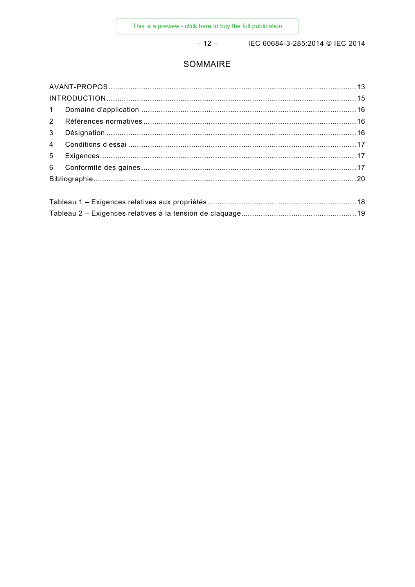$-12-$ 

IEC 60684-3-285:2014 © IEC 2014

### SOMMAIRE

| $\mathbf{1}$   |  |  |  |
|----------------|--|--|--|
| 2              |  |  |  |
| $\mathbf{3}$   |  |  |  |
| $\overline{4}$ |  |  |  |
| 5              |  |  |  |
| 6              |  |  |  |
|                |  |  |  |
|                |  |  |  |
|                |  |  |  |
|                |  |  |  |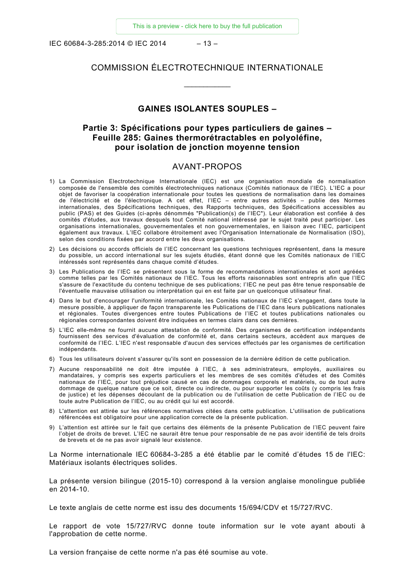IEC 60684-3-285:2014 © IEC 2014 – 13 –

#### COMMISSION ÉLECTROTECHNIQUE INTERNATIONALE

 $\overline{\phantom{a}}$ 

#### **GAINES ISOLANTES SOUPLES –**

#### **Partie 3: Spécifications pour types particuliers de gaines – Feuille 285: Gaines thermorétractables en polyoléfine, pour isolation de jonction moyenne tension**

#### AVANT-PROPOS

- <span id="page-7-0"></span>1) La Commission Electrotechnique Internationale (IEC) est une organisation mondiale de normalisation composée de l'ensemble des comités électrotechniques nationaux (Comités nationaux de l'IEC). L'IEC a pour objet de favoriser la coopération internationale pour toutes les questions de normalisation dans les domaines de l'électricité et de l'électronique. A cet effet, l'IEC – entre autres activités – publie des Normes internationales, des Spécifications techniques, des Rapports techniques, des Spécifications accessibles au public (PAS) et des Guides (ci-après dénommés "Publication(s) de l'IEC"). Leur élaboration est confiée à des comités d'études, aux travaux desquels tout Comité national intéressé par le sujet traité peut participer. Les organisations internationales, gouvernementales et non gouvernementales, en liaison avec l'IEC, participent également aux travaux. L'IEC collabore étroitement avec l'Organisation Internationale de Normalisation (ISO), selon des conditions fixées par accord entre les deux organisations.
- 2) Les décisions ou accords officiels de l'IEC concernant les questions techniques représentent, dans la mesure du possible, un accord international sur les sujets étudiés, étant donné que les Comités nationaux de l'IEC intéressés sont représentés dans chaque comité d'études.
- 3) Les Publications de l'IEC se présentent sous la forme de recommandations internationales et sont agréées comme telles par les Comités nationaux de l'IEC. Tous les efforts raisonnables sont entrepris afin que l'IEC s'assure de l'exactitude du contenu technique de ses publications; l'IEC ne peut pas être tenue responsable de l'éventuelle mauvaise utilisation ou interprétation qui en est faite par un quelconque utilisateur final.
- 4) Dans le but d'encourager l'uniformité internationale, les Comités nationaux de l'IEC s'engagent, dans toute la mesure possible, à appliquer de façon transparente les Publications de l'IEC dans leurs publications nationales et régionales. Toutes divergences entre toutes Publications de l'IEC et toutes publications nationales ou régionales correspondantes doivent être indiquées en termes clairs dans ces dernières.
- 5) L'IEC elle-même ne fournit aucune attestation de conformité. Des organismes de certification indépendants fournissent des services d'évaluation de conformité et, dans certains secteurs, accèdent aux marques de conformité de l'IEC. L'IEC n'est responsable d'aucun des services effectués par les organismes de certification indépendants.
- 6) Tous les utilisateurs doivent s'assurer qu'ils sont en possession de la dernière édition de cette publication.
- 7) Aucune responsabilité ne doit être imputée à l'IEC, à ses administrateurs, employés, auxiliaires ou mandataires, y compris ses experts particuliers et les membres de ses comités d'études et des Comités nationaux de l'IEC, pour tout préjudice causé en cas de dommages corporels et matériels, ou de tout autre dommage de quelque nature que ce soit, directe ou indirecte, ou pour supporter les coûts (y compris les frais de justice) et les dépenses découlant de la publication ou de l'utilisation de cette Publication de l'IEC ou de toute autre Publication de l'IEC, ou au crédit qui lui est accordé.
- 8) L'attention est attirée sur les références normatives citées dans cette publication. L'utilisation de publications référencées est obligatoire pour une application correcte de la présente publication.
- 9) L'attention est attirée sur le fait que certains des éléments de la présente Publication de l'IEC peuvent faire l'objet de droits de brevet. L'IEC ne saurait être tenue pour responsable de ne pas avoir identifié de tels droits de brevets et de ne pas avoir signalé leur existence.

La Norme internationale IEC 60684-3-285 a été établie par le comité d'études 15 de l'IEC: Matériaux isolants électriques solides.

La présente version bilingue (2015-10) correspond à la version anglaise monolingue publiée en 2014-10.

Le texte anglais de cette norme est issu des documents 15/694/CDV et 15/727/RVC.

Le rapport de vote 15/727/RVC donne toute information sur le vote ayant abouti à l'approbation de cette norme.

La version française de cette norme n'a pas été soumise au vote.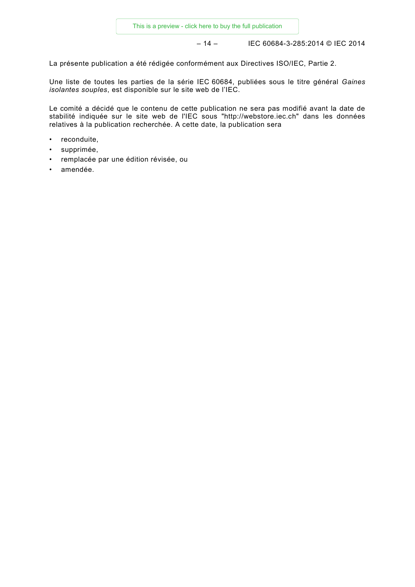– 14 – IEC 60684-3-285:2014 © IEC 2014

La présente publication a été rédigée conformément aux Directives ISO/IEC, Partie 2.

Une liste de toutes les parties de la série IEC 60684, publiées sous le titre général *Gaines isolantes souples*, est disponible sur le site web de l'IEC.

Le comité a décidé que le contenu de cette publication ne sera pas modifié avant la date de stabilité indiquée sur le site web de l'IEC sous "http://webstore.iec.ch" dans les données relatives à la publication recherchée. A cette date, la publication sera

- reconduite,
- supprimée,
- remplacée par une édition révisée, ou
- amendée.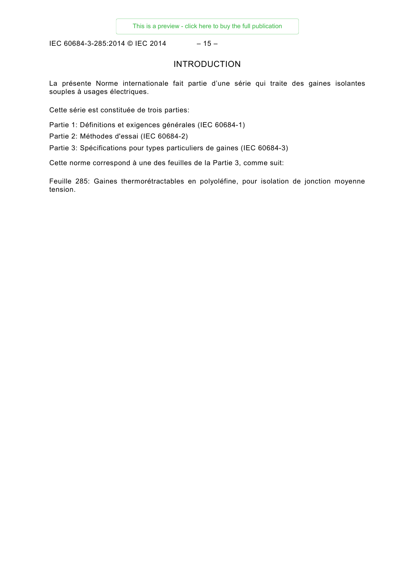IEC 60684-3-285:2014 © IEC 2014 - 15 -

#### INTRODUCTION

<span id="page-9-0"></span>La présente Norme internationale fait partie d'une série qui traite des gaines isolantes souples à usages électriques.

Cette série est constituée de trois parties:

Partie 1: Définitions et exigences générales (IEC 60684-1)

Partie 2: Méthodes d'essai (IEC 60684-2)

Partie 3: Spécifications pour types particuliers de gaines (IEC 60684-3)

Cette norme correspond à une des feuilles de la Partie 3, comme suit:

Feuille 285: Gaines thermorétractables en polyoléfine, pour isolation de jonction moyenne tension.